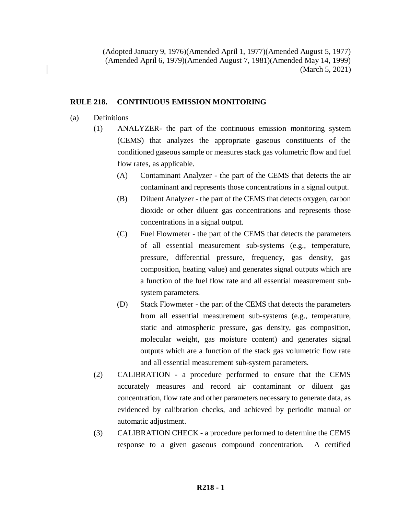(Adopted January 9, 1976)(Amended April 1, 1977)(Amended August 5, 1977) (Amended April 6, 1979)(Amended August 7, 1981)(Amended May 14, 1999) (March 5, 2021)

## **RULE 218. CONTINUOUS EMISSION MONITORING**

- (a) Definitions
	- (1) ANALYZER- the part of the continuous emission monitoring system (CEMS) that analyzes the appropriate gaseous constituents of the conditioned gaseous sample or measures stack gas volumetric flow and fuel flow rates, as applicable.
		- (A) Contaminant Analyzer the part of the CEMS that detects the air contaminant and represents those concentrations in a signal output.
		- (B) Diluent Analyzer the part of the CEMS that detects oxygen, carbon dioxide or other diluent gas concentrations and represents those concentrations in a signal output.
		- (C) Fuel Flowmeter the part of the CEMS that detects the parameters of all essential measurement sub-systems (e.g., temperature, pressure, differential pressure, frequency, gas density, gas composition, heating value) and generates signal outputs which are a function of the fuel flow rate and all essential measurement subsystem parameters.
		- (D) Stack Flowmeter the part of the CEMS that detects the parameters from all essential measurement sub-systems (e.g., temperature, static and atmospheric pressure, gas density, gas composition, molecular weight, gas moisture content) and generates signal outputs which are a function of the stack gas volumetric flow rate and all essential measurement sub-system parameters.
	- (2) CALIBRATION a procedure performed to ensure that the CEMS accurately measures and record air contaminant or diluent gas concentration, flow rate and other parameters necessary to generate data, as evidenced by calibration checks, and achieved by periodic manual or automatic adjustment.
	- (3) CALIBRATION CHECK a procedure performed to determine the CEMS response to a given gaseous compound concentration. A certified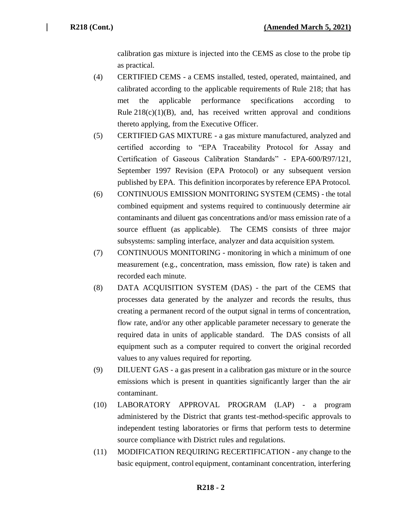calibration gas mixture is injected into the CEMS as close to the probe tip as practical.

- (4) CERTIFIED CEMS a CEMS installed, tested, operated, maintained, and calibrated according to the applicable requirements of Rule 218; that has met the applicable performance specifications according to Rule  $218(c)(1)(B)$ , and, has received written approval and conditions thereto applying, from the Executive Officer.
- (5) CERTIFIED GAS MIXTURE a gas mixture manufactured, analyzed and certified according to "EPA Traceability Protocol for Assay and Certification of Gaseous Calibration Standards" - EPA-600/R97/121, September 1997 Revision (EPA Protocol) or any subsequent version published by EPA. This definition incorporates by reference EPA Protocol.
- (6) CONTINUOUS EMISSION MONITORING SYSTEM (CEMS) the total combined equipment and systems required to continuously determine air contaminants and diluent gas concentrations and/or mass emission rate of a source effluent (as applicable). The CEMS consists of three major subsystems: sampling interface, analyzer and data acquisition system.
- (7) CONTINUOUS MONITORING monitoring in which a minimum of one measurement (e.g., concentration, mass emission, flow rate) is taken and recorded each minute.
- (8) DATA ACQUISITION SYSTEM (DAS) the part of the CEMS that processes data generated by the analyzer and records the results, thus creating a permanent record of the output signal in terms of concentration, flow rate, and/or any other applicable parameter necessary to generate the required data in units of applicable standard. The DAS consists of all equipment such as a computer required to convert the original recorded values to any values required for reporting.
- (9) DILUENT GAS a gas present in a calibration gas mixture or in the source emissions which is present in quantities significantly larger than the air contaminant.
- (10) LABORATORY APPROVAL PROGRAM (LAP) a program administered by the District that grants test-method-specific approvals to independent testing laboratories or firms that perform tests to determine source compliance with District rules and regulations.
- (11) MODIFICATION REQUIRING RECERTIFICATION any change to the basic equipment, control equipment, contaminant concentration, interfering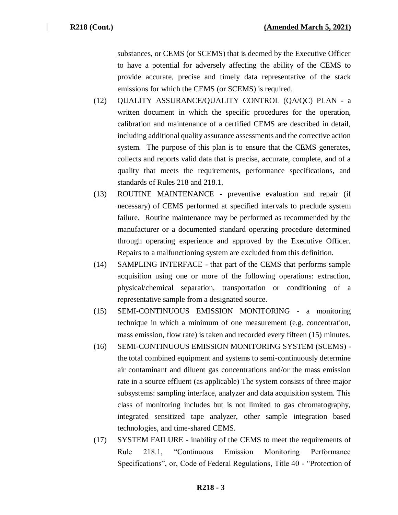substances, or CEMS (or SCEMS) that is deemed by the Executive Officer to have a potential for adversely affecting the ability of the CEMS to provide accurate, precise and timely data representative of the stack emissions for which the CEMS (or SCEMS) is required.

- (12) QUALITY ASSURANCE/QUALITY CONTROL (QA/QC) PLAN a written document in which the specific procedures for the operation, calibration and maintenance of a certified CEMS are described in detail, including additional quality assurance assessments and the corrective action system. The purpose of this plan is to ensure that the CEMS generates, collects and reports valid data that is precise, accurate, complete, and of a quality that meets the requirements, performance specifications, and standards of Rules 218 and 218.1.
- (13) ROUTINE MAINTENANCE preventive evaluation and repair (if necessary) of CEMS performed at specified intervals to preclude system failure. Routine maintenance may be performed as recommended by the manufacturer or a documented standard operating procedure determined through operating experience and approved by the Executive Officer. Repairs to a malfunctioning system are excluded from this definition.
- (14) SAMPLING INTERFACE that part of the CEMS that performs sample acquisition using one or more of the following operations: extraction, physical/chemical separation, transportation or conditioning of a representative sample from a designated source.
- (15) SEMI-CONTINUOUS EMISSION MONITORING a monitoring technique in which a minimum of one measurement (e.g. concentration, mass emission, flow rate) is taken and recorded every fifteen (15) minutes.
- (16) SEMI-CONTINUOUS EMISSION MONITORING SYSTEM (SCEMS) the total combined equipment and systems to semi-continuously determine air contaminant and diluent gas concentrations and/or the mass emission rate in a source effluent (as applicable) The system consists of three major subsystems: sampling interface, analyzer and data acquisition system. This class of monitoring includes but is not limited to gas chromatography, integrated sensitized tape analyzer, other sample integration based technologies, and time-shared CEMS.
- (17) SYSTEM FAILURE inability of the CEMS to meet the requirements of Rule 218.1, "Continuous Emission Monitoring Performance Specifications", or, Code of Federal Regulations, Title 40 - "Protection of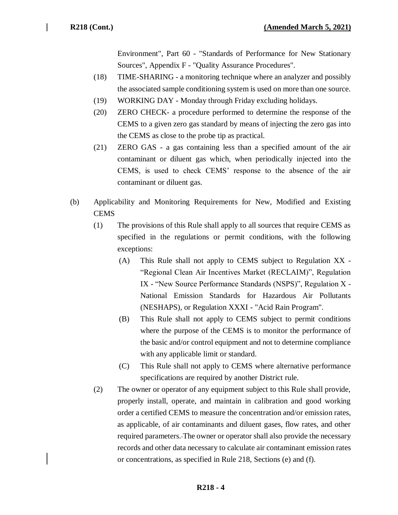Environment", Part 60 - "Standards of Performance for New Stationary Sources", Appendix F - "Quality Assurance Procedures".

- (18) TIME-SHARING a monitoring technique where an analyzer and possibly the associated sample conditioning system is used on more than one source.
- (19) WORKING DAY Monday through Friday excluding holidays.
- (20) ZERO CHECK- a procedure performed to determine the response of the CEMS to a given zero gas standard by means of injecting the zero gas into the CEMS as close to the probe tip as practical.
- (21) ZERO GAS a gas containing less than a specified amount of the air contaminant or diluent gas which, when periodically injected into the CEMS, is used to check CEMS' response to the absence of the air contaminant or diluent gas.
- (b) Applicability and Monitoring Requirements for New, Modified and Existing **CEMS** 
	- (1) The provisions of this Rule shall apply to all sources that require CEMS as specified in the regulations or permit conditions, with the following exceptions:
		- (A) This Rule shall not apply to CEMS subject to Regulation XX "Regional Clean Air Incentives Market (RECLAIM)", Regulation IX - "New Source Performance Standards (NSPS)", Regulation X - National Emission Standards for Hazardous Air Pollutants (NESHAPS), or Regulation XXXI - "Acid Rain Program".
		- (B) This Rule shall not apply to CEMS subject to permit conditions where the purpose of the CEMS is to monitor the performance of the basic and/or control equipment and not to determine compliance with any applicable limit or standard.
		- (C) This Rule shall not apply to CEMS where alternative performance specifications are required by another District rule.
	- (2) The owner or operator of any equipment subject to this Rule shall provide, properly install, operate, and maintain in calibration and good working order a certified CEMS to measure the concentration and/or emission rates, as applicable, of air contaminants and diluent gases, flow rates, and other required parameters. The owner or operator shall also provide the necessary records and other data necessary to calculate air contaminant emission rates or concentrations, as specified in Rule 218, Sections (e) and (f).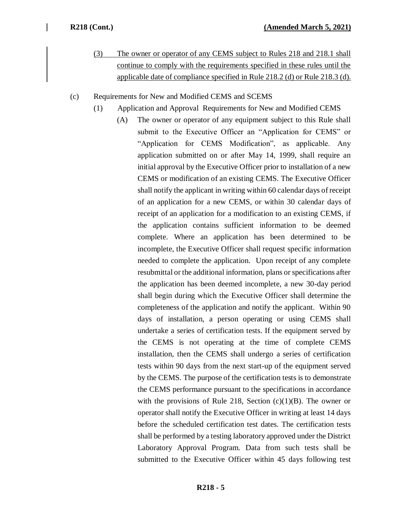- (3) The owner or operator of any CEMS subject to Rules 218 and 218.1 shall continue to comply with the requirements specified in these rules until the applicable date of compliance specified in Rule 218.2 (d) or Rule 218.3 (d).
- (c) Requirements for New and Modified CEMS and SCEMS
	- (1) Application and Approval Requirements for New and Modified CEMS
		- (A) The owner or operator of any equipment subject to this Rule shall submit to the Executive Officer an "Application for CEMS" or "Application for CEMS Modification", as applicable. Any application submitted on or after May 14, 1999, shall require an initial approval by the Executive Officer prior to installation of a new CEMS or modification of an existing CEMS. The Executive Officer shall notify the applicant in writing within 60 calendar days of receipt of an application for a new CEMS, or within 30 calendar days of receipt of an application for a modification to an existing CEMS, if the application contains sufficient information to be deemed complete. Where an application has been determined to be incomplete, the Executive Officer shall request specific information needed to complete the application. Upon receipt of any complete resubmittal or the additional information, plans or specifications after the application has been deemed incomplete, a new 30-day period shall begin during which the Executive Officer shall determine the completeness of the application and notify the applicant. Within 90 days of installation, a person operating or using CEMS shall undertake a series of certification tests. If the equipment served by the CEMS is not operating at the time of complete CEMS installation, then the CEMS shall undergo a series of certification tests within 90 days from the next start-up of the equipment served by the CEMS. The purpose of the certification tests is to demonstrate the CEMS performance pursuant to the specifications in accordance with the provisions of Rule 218, Section  $(c)(1)(B)$ . The owner or operator shall notify the Executive Officer in writing at least 14 days before the scheduled certification test dates. The certification tests shall be performed by a testing laboratory approved under the District Laboratory Approval Program. Data from such tests shall be submitted to the Executive Officer within 45 days following test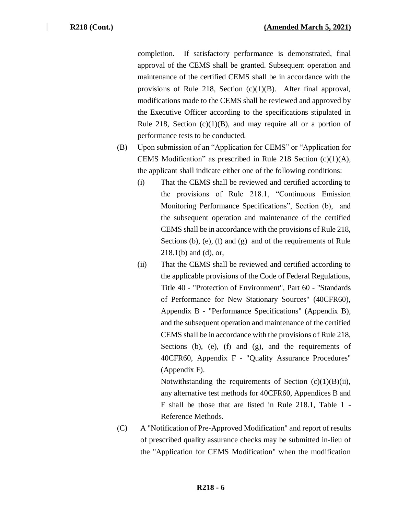completion. If satisfactory performance is demonstrated, final approval of the CEMS shall be granted. Subsequent operation and maintenance of the certified CEMS shall be in accordance with the provisions of Rule 218, Section (c)(1)(B). After final approval, modifications made to the CEMS shall be reviewed and approved by the Executive Officer according to the specifications stipulated in Rule 218, Section  $(c)(1)(B)$ , and may require all or a portion of performance tests to be conducted.

- (B) Upon submission of an "Application for CEMS" or "Application for CEMS Modification" as prescribed in Rule 218 Section (c)(1)(A), the applicant shall indicate either one of the following conditions:
	- (i) That the CEMS shall be reviewed and certified according to the provisions of Rule 218.1, "Continuous Emission Monitoring Performance Specifications", Section (b), and the subsequent operation and maintenance of the certified CEMS shall be in accordance with the provisions of Rule 218, Sections (b), (e), (f) and (g) and of the requirements of Rule 218.1(b) and (d), or,
	- (ii) That the CEMS shall be reviewed and certified according to the applicable provisions of the Code of Federal Regulations, Title 40 - "Protection of Environment", Part 60 - "Standards of Performance for New Stationary Sources" (40CFR60), Appendix B - "Performance Specifications" (Appendix B), and the subsequent operation and maintenance of the certified CEMS shall be in accordance with the provisions of Rule 218, Sections (b), (e), (f) and (g), and the requirements of 40CFR60, Appendix F - "Quality Assurance Procedures" (Appendix F).

Notwithstanding the requirements of Section  $(c)(1)(B)(ii)$ , any alternative test methods for 40CFR60, Appendices B and F shall be those that are listed in Rule 218.1, Table 1 - Reference Methods.

(C) A "Notification of Pre-Approved Modification" and report of results of prescribed quality assurance checks may be submitted in-lieu of the "Application for CEMS Modification" when the modification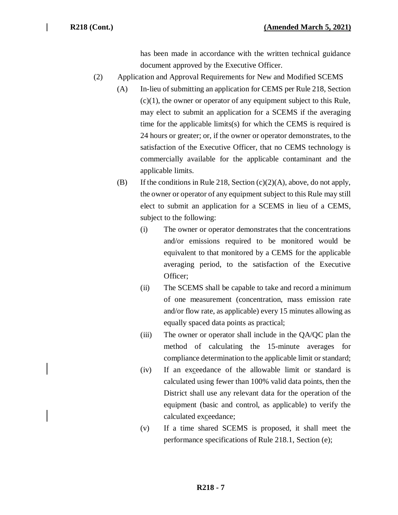has been made in accordance with the written technical guidance document approved by the Executive Officer.

- (2) Application and Approval Requirements for New and Modified SCEMS
	- (A) In-lieu of submitting an application for CEMS per Rule 218, Section  $(c)(1)$ , the owner or operator of any equipment subject to this Rule, may elect to submit an application for a SCEMS if the averaging time for the applicable limits(s) for which the CEMS is required is 24 hours or greater; or, if the owner or operator demonstrates, to the satisfaction of the Executive Officer, that no CEMS technology is commercially available for the applicable contaminant and the applicable limits.
	- (B) If the conditions in Rule 218, Section  $(c)(2)(A)$ , above, do not apply, the owner or operator of any equipment subject to this Rule may still elect to submit an application for a SCEMS in lieu of a CEMS, subject to the following:
		- (i) The owner or operator demonstrates that the concentrations and/or emissions required to be monitored would be equivalent to that monitored by a CEMS for the applicable averaging period, to the satisfaction of the Executive Officer;
		- (ii) The SCEMS shall be capable to take and record a minimum of one measurement (concentration, mass emission rate and/or flow rate, as applicable) every 15 minutes allowing as equally spaced data points as practical;
		- (iii) The owner or operator shall include in the QA/QC plan the method of calculating the 15-minute averages for compliance determination to the applicable limit or standard;
		- (iv) If an exceedance of the allowable limit or standard is calculated using fewer than 100% valid data points, then the District shall use any relevant data for the operation of the equipment (basic and control, as applicable) to verify the calculated exceedance;
		- (v) If a time shared SCEMS is proposed, it shall meet the performance specifications of Rule 218.1, Section (e);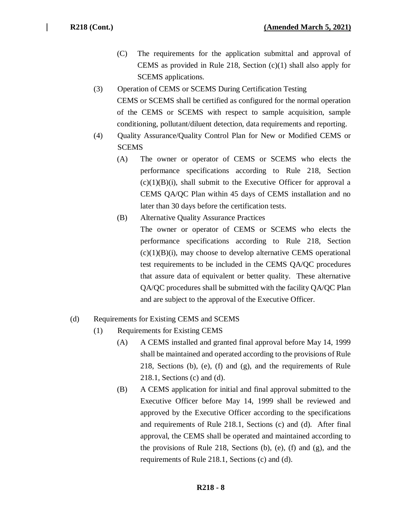- (C) The requirements for the application submittal and approval of CEMS as provided in Rule 218, Section (c)(1) shall also apply for SCEMS applications.
- (3) Operation of CEMS or SCEMS During Certification Testing CEMS or SCEMS shall be certified as configured for the normal operation of the CEMS or SCEMS with respect to sample acquisition, sample conditioning, pollutant/diluent detection, data requirements and reporting.
- (4) Quality Assurance/Quality Control Plan for New or Modified CEMS or **SCEMS** 
	- (A) The owner or operator of CEMS or SCEMS who elects the performance specifications according to Rule 218, Section  $(c)(1)(B)(i)$ , shall submit to the Executive Officer for approval a CEMS QA/QC Plan within 45 days of CEMS installation and no later than 30 days before the certification tests.
	- (B) Alternative Quality Assurance Practices The owner or operator of CEMS or SCEMS who elects the performance specifications according to Rule 218, Section  $(c)(1)(B)(i)$ , may choose to develop alternative CEMS operational test requirements to be included in the CEMS QA/QC procedures that assure data of equivalent or better quality. These alternative QA/QC procedures shall be submitted with the facility QA/QC Plan and are subject to the approval of the Executive Officer.

## (d) Requirements for Existing CEMS and SCEMS

- (1) Requirements for Existing CEMS
	- (A) A CEMS installed and granted final approval before May 14, 1999 shall be maintained and operated according to the provisions of Rule 218, Sections (b), (e), (f) and (g), and the requirements of Rule 218.1, Sections (c) and (d).
	- (B) A CEMS application for initial and final approval submitted to the Executive Officer before May 14, 1999 shall be reviewed and approved by the Executive Officer according to the specifications and requirements of Rule 218.1, Sections (c) and (d). After final approval, the CEMS shall be operated and maintained according to the provisions of Rule 218, Sections (b), (e), (f) and (g), and the requirements of Rule 218.1, Sections (c) and (d).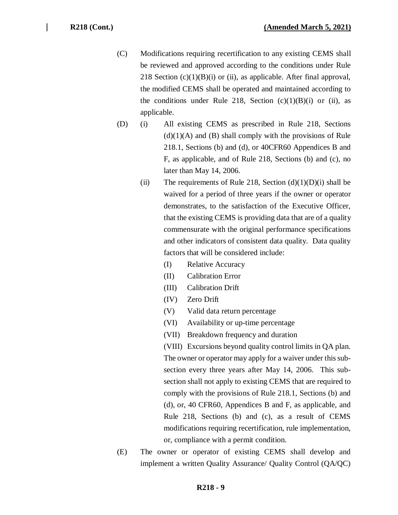- (C) Modifications requiring recertification to any existing CEMS shall be reviewed and approved according to the conditions under Rule 218 Section  $(c)(1)(B)(i)$  or (ii), as applicable. After final approval, the modified CEMS shall be operated and maintained according to the conditions under Rule 218, Section  $(c)(1)(B)(i)$  or (ii), as applicable.
- (D) (i) All existing CEMS as prescribed in Rule 218, Sections  $(d)(1)(A)$  and  $(B)$  shall comply with the provisions of Rule 218.1, Sections (b) and (d), or 40CFR60 Appendices B and F, as applicable, and of Rule 218, Sections (b) and (c), no later than May 14, 2006.
	- (ii) The requirements of Rule 218, Section  $(d)(1)(D)(i)$  shall be waived for a period of three years if the owner or operator demonstrates, to the satisfaction of the Executive Officer, that the existing CEMS is providing data that are of a quality commensurate with the original performance specifications and other indicators of consistent data quality. Data quality factors that will be considered include:
		- (I) Relative Accuracy
		- (II) Calibration Error
		- (III) Calibration Drift
		- (IV) Zero Drift
		- (V) Valid data return percentage
		- (VI) Availability or up-time percentage
		- (VII) Breakdown frequency and duration

(VIII) Excursions beyond quality control limits in QA plan. The owner or operator may apply for a waiver under this subsection every three years after May 14, 2006. This subsection shall not apply to existing CEMS that are required to comply with the provisions of Rule 218.1, Sections (b) and (d), or, 40 CFR60, Appendices B and F, as applicable, and Rule 218, Sections (b) and (c), as a result of CEMS modifications requiring recertification, rule implementation, or, compliance with a permit condition.

(E) The owner or operator of existing CEMS shall develop and implement a written Quality Assurance/ Quality Control (QA/QC)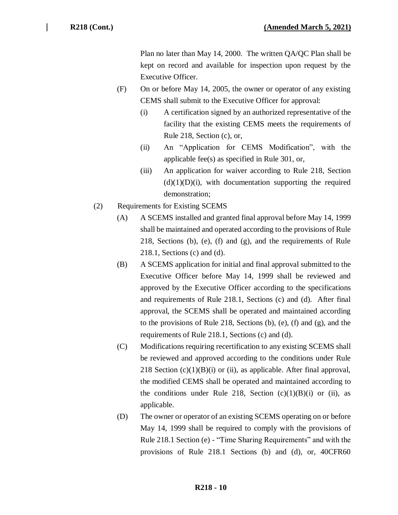Plan no later than May 14, 2000. The written QA/QC Plan shall be kept on record and available for inspection upon request by the Executive Officer.

- (F) On or before May 14, 2005, the owner or operator of any existing CEMS shall submit to the Executive Officer for approval:
	- (i) A certification signed by an authorized representative of the facility that the existing CEMS meets the requirements of Rule 218, Section (c), or,
	- (ii) An "Application for CEMS Modification", with the applicable fee(s) as specified in Rule 301, or,
	- (iii) An application for waiver according to Rule 218, Section  $(d)(1)(D)(i)$ , with documentation supporting the required demonstration;
- (2) Requirements for Existing SCEMS
	- (A) A SCEMS installed and granted final approval before May 14, 1999 shall be maintained and operated according to the provisions of Rule 218, Sections (b), (e), (f) and (g), and the requirements of Rule 218.1, Sections (c) and (d).
	- (B) A SCEMS application for initial and final approval submitted to the Executive Officer before May 14, 1999 shall be reviewed and approved by the Executive Officer according to the specifications and requirements of Rule 218.1, Sections (c) and (d). After final approval, the SCEMS shall be operated and maintained according to the provisions of Rule 218, Sections (b), (e), (f) and (g), and the requirements of Rule 218.1, Sections (c) and (d).
	- (C) Modifications requiring recertification to any existing SCEMS shall be reviewed and approved according to the conditions under Rule 218 Section  $(c)(1)(B)(i)$  or (ii), as applicable. After final approval, the modified CEMS shall be operated and maintained according to the conditions under Rule 218, Section  $(c)(1)(B)(i)$  or (ii), as applicable.
	- (D) The owner or operator of an existing SCEMS operating on or before May 14, 1999 shall be required to comply with the provisions of Rule 218.1 Section (e) - "Time Sharing Requirements" and with the provisions of Rule 218.1 Sections (b) and (d), or, 40CFR60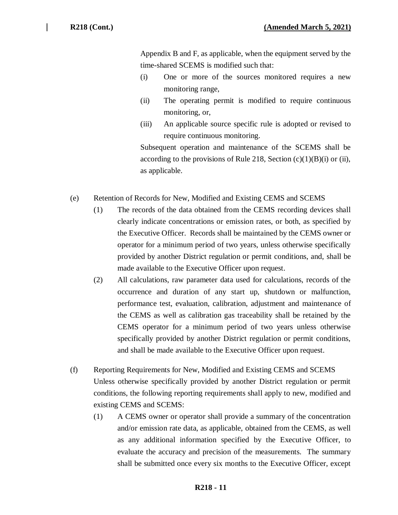Appendix B and F, as applicable, when the equipment served by the time-shared SCEMS is modified such that:

- (i) One or more of the sources monitored requires a new monitoring range,
- (ii) The operating permit is modified to require continuous monitoring, or,
- (iii) An applicable source specific rule is adopted or revised to require continuous monitoring.

Subsequent operation and maintenance of the SCEMS shall be according to the provisions of Rule 218, Section  $(c)(1)(B)(i)$  or (ii), as applicable.

- (e) Retention of Records for New, Modified and Existing CEMS and SCEMS
	- (1) The records of the data obtained from the CEMS recording devices shall clearly indicate concentrations or emission rates, or both, as specified by the Executive Officer. Records shall be maintained by the CEMS owner or operator for a minimum period of two years, unless otherwise specifically provided by another District regulation or permit conditions, and, shall be made available to the Executive Officer upon request.
	- (2) All calculations, raw parameter data used for calculations, records of the occurrence and duration of any start up, shutdown or malfunction, performance test, evaluation, calibration, adjustment and maintenance of the CEMS as well as calibration gas traceability shall be retained by the CEMS operator for a minimum period of two years unless otherwise specifically provided by another District regulation or permit conditions, and shall be made available to the Executive Officer upon request.
- (f) Reporting Requirements for New, Modified and Existing CEMS and SCEMS Unless otherwise specifically provided by another District regulation or permit conditions, the following reporting requirements shall apply to new, modified and existing CEMS and SCEMS:
	- (1) A CEMS owner or operator shall provide a summary of the concentration and/or emission rate data, as applicable, obtained from the CEMS, as well as any additional information specified by the Executive Officer, to evaluate the accuracy and precision of the measurements. The summary shall be submitted once every six months to the Executive Officer, except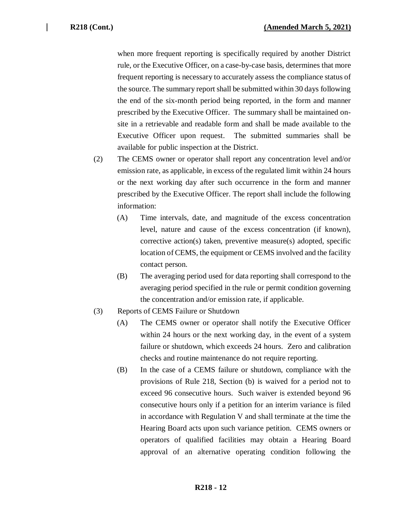when more frequent reporting is specifically required by another District rule, or the Executive Officer, on a case-by-case basis, determines that more frequent reporting is necessary to accurately assess the compliance status of the source. The summary report shall be submitted within 30 days following the end of the six-month period being reported, in the form and manner prescribed by the Executive Officer. The summary shall be maintained onsite in a retrievable and readable form and shall be made available to the Executive Officer upon request. The submitted summaries shall be available for public inspection at the District.

- (2) The CEMS owner or operator shall report any concentration level and/or emission rate, as applicable, in excess of the regulated limit within 24 hours or the next working day after such occurrence in the form and manner prescribed by the Executive Officer. The report shall include the following information:
	- (A) Time intervals, date, and magnitude of the excess concentration level, nature and cause of the excess concentration (if known), corrective action(s) taken, preventive measure(s) adopted, specific location of CEMS, the equipment or CEMS involved and the facility contact person.
	- (B) The averaging period used for data reporting shall correspond to the averaging period specified in the rule or permit condition governing the concentration and/or emission rate, if applicable.
- (3) Reports of CEMS Failure or Shutdown
	- (A) The CEMS owner or operator shall notify the Executive Officer within 24 hours or the next working day, in the event of a system failure or shutdown, which exceeds 24 hours. Zero and calibration checks and routine maintenance do not require reporting.
	- (B) In the case of a CEMS failure or shutdown, compliance with the provisions of Rule 218, Section (b) is waived for a period not to exceed 96 consecutive hours. Such waiver is extended beyond 96 consecutive hours only if a petition for an interim variance is filed in accordance with Regulation V and shall terminate at the time the Hearing Board acts upon such variance petition. CEMS owners or operators of qualified facilities may obtain a Hearing Board approval of an alternative operating condition following the